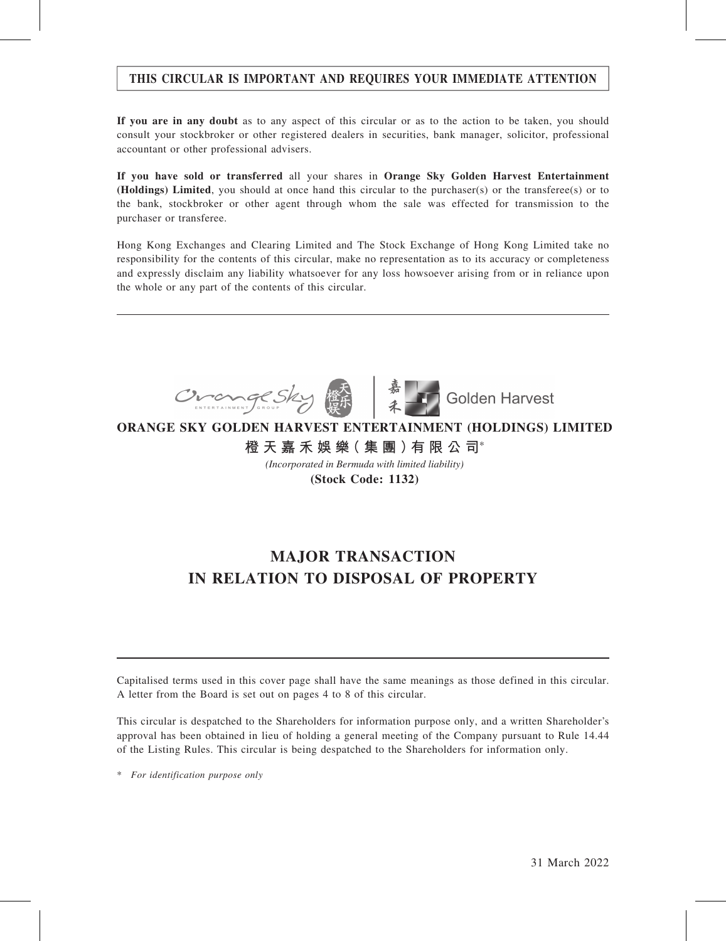### THIS CIRCULAR IS IMPORTANT AND REQUIRES YOUR IMMEDIATE ATTENTION

If you are in any doubt as to any aspect of this circular or as to the action to be taken, you should consult your stockbroker or other registered dealers in securities, bank manager, solicitor, professional accountant or other professional advisers.

If you have sold or transferred all your shares in Orange Sky Golden Harvest Entertainment (Holdings) Limited, you should at once hand this circular to the purchaser(s) or the transferee(s) or to the bank, stockbroker or other agent through whom the sale was effected for transmission to the purchaser or transferee.

Hong Kong Exchanges and Clearing Limited and The Stock Exchange of Hong Kong Limited take no responsibility for the contents of this circular, make no representation as to its accuracy or completeness and expressly disclaim any liability whatsoever for any loss howsoever arising from or in reliance upon the whole or any part of the contents of this circular.



**ORANGE SKY GOLDEN HARVEST ENTERTAINMENT (HOLDINGS) LIMITED 橙 天 嘉 禾 娛 樂( 集 團 )有 限 公 司**\*

*(Incorporated in Bermuda with limited liability)*

**(Stock Code: 1132)**

## MAJOR TRANSACTION IN RELATION TO DISPOSAL OF PROPERTY

Capitalised terms used in this cover page shall have the same meanings as those defined in this circular. A letter from the Board is set out on pages 4 to 8 of this circular.

This circular is despatched to the Shareholders for information purpose only, and a written Shareholder's approval has been obtained in lieu of holding a general meeting of the Company pursuant to Rule 14.44 of the Listing Rules. This circular is being despatched to the Shareholders for information only.

\* For identification purpose only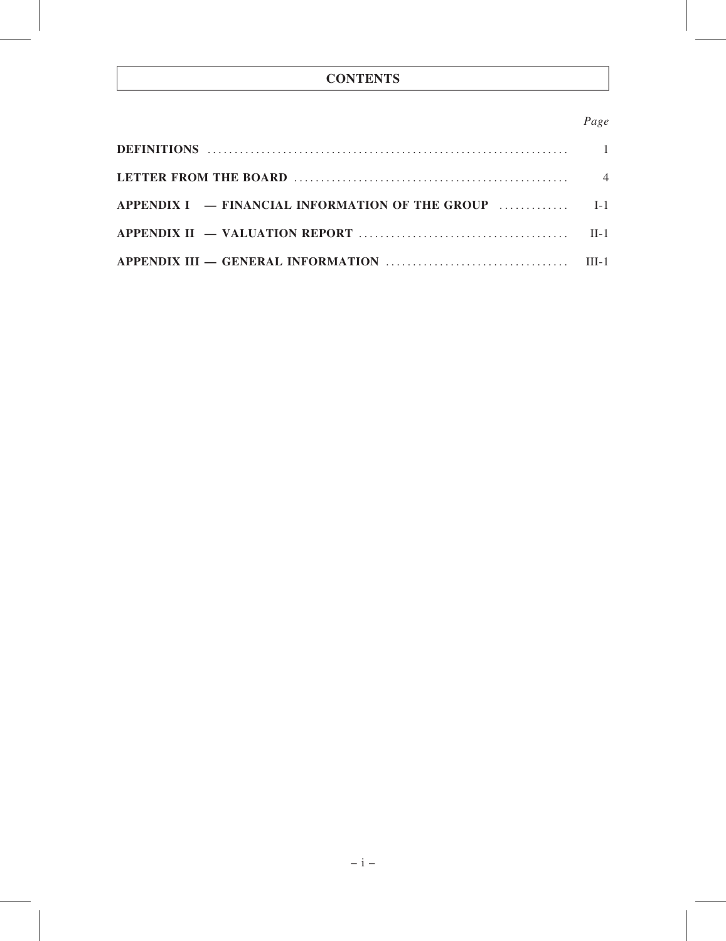## **CONTENTS**

### Page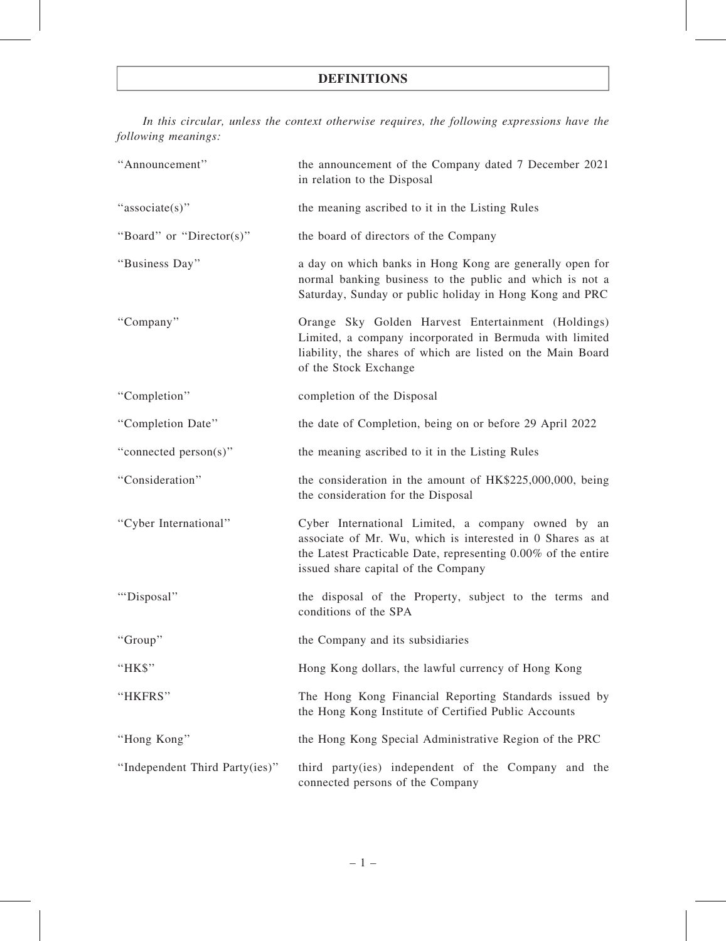### DEFINITIONS

In this circular, unless the context otherwise requires, the following expressions have the following meanings:

| "Announcement"                 | the announcement of the Company dated 7 December 2021<br>in relation to the Disposal                                                                                                                                     |  |  |
|--------------------------------|--------------------------------------------------------------------------------------------------------------------------------------------------------------------------------------------------------------------------|--|--|
| "associate(s)"                 | the meaning ascribed to it in the Listing Rules                                                                                                                                                                          |  |  |
| "Board" or "Director(s)"       | the board of directors of the Company                                                                                                                                                                                    |  |  |
| "Business Day"                 | a day on which banks in Hong Kong are generally open for<br>normal banking business to the public and which is not a<br>Saturday, Sunday or public holiday in Hong Kong and PRC                                          |  |  |
| "Company"                      | Orange Sky Golden Harvest Entertainment (Holdings)<br>Limited, a company incorporated in Bermuda with limited<br>liability, the shares of which are listed on the Main Board<br>of the Stock Exchange                    |  |  |
| "Completion"                   | completion of the Disposal                                                                                                                                                                                               |  |  |
| "Completion Date"              | the date of Completion, being on or before 29 April 2022                                                                                                                                                                 |  |  |
| "connected person(s)"          | the meaning ascribed to it in the Listing Rules                                                                                                                                                                          |  |  |
| "Consideration"                | the consideration in the amount of HK\$225,000,000, being<br>the consideration for the Disposal                                                                                                                          |  |  |
| "Cyber International"          | Cyber International Limited, a company owned by an<br>associate of Mr. Wu, which is interested in 0 Shares as at<br>the Latest Practicable Date, representing 0.00% of the entire<br>issued share capital of the Company |  |  |
| "Disposal"                     | the disposal of the Property, subject to the terms and<br>conditions of the SPA                                                                                                                                          |  |  |
| "Group"                        | the Company and its subsidiaries                                                                                                                                                                                         |  |  |
| "HK\$"                         | Hong Kong dollars, the lawful currency of Hong Kong                                                                                                                                                                      |  |  |
| "HKFRS"                        | The Hong Kong Financial Reporting Standards issued by<br>the Hong Kong Institute of Certified Public Accounts                                                                                                            |  |  |
| "Hong Kong"                    | the Hong Kong Special Administrative Region of the PRC                                                                                                                                                                   |  |  |
| "Independent Third Party(ies)" | third party(ies) independent of the Company and the<br>connected persons of the Company                                                                                                                                  |  |  |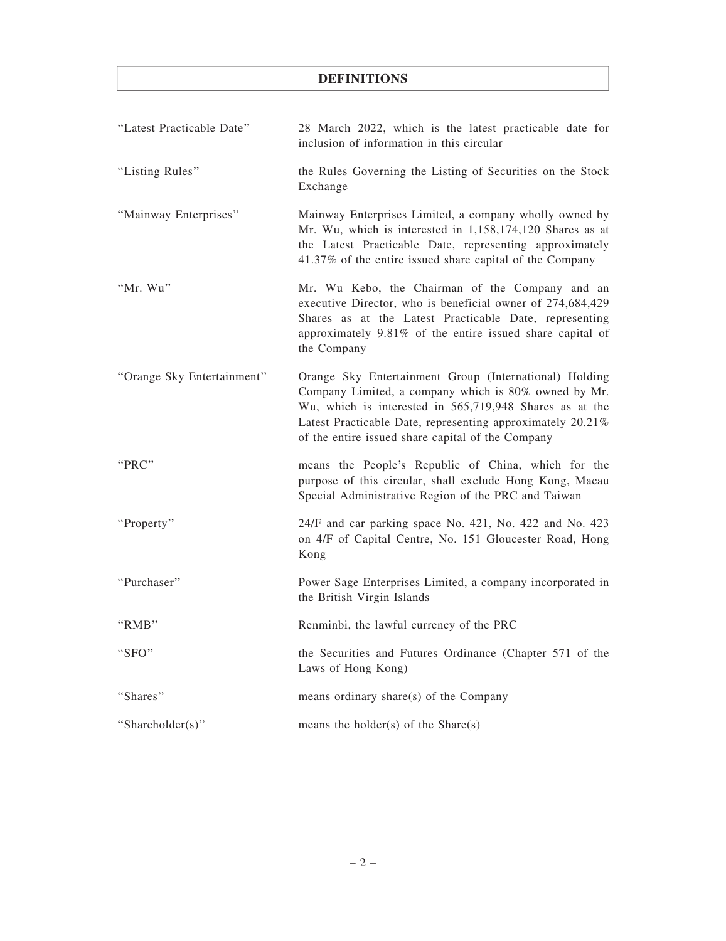## DEFINITIONS

| "Latest Practicable Date"  | 28 March 2022, which is the latest practicable date for<br>inclusion of information in this circular                                                                                                                                                                                         |
|----------------------------|----------------------------------------------------------------------------------------------------------------------------------------------------------------------------------------------------------------------------------------------------------------------------------------------|
| "Listing Rules"            | the Rules Governing the Listing of Securities on the Stock<br>Exchange                                                                                                                                                                                                                       |
| "Mainway Enterprises"      | Mainway Enterprises Limited, a company wholly owned by<br>Mr. Wu, which is interested in 1,158,174,120 Shares as at<br>the Latest Practicable Date, representing approximately<br>41.37% of the entire issued share capital of the Company                                                   |
| "Mr. Wu"                   | Mr. Wu Kebo, the Chairman of the Company and an<br>executive Director, who is beneficial owner of 274,684,429<br>Shares as at the Latest Practicable Date, representing<br>approximately 9.81% of the entire issued share capital of<br>the Company                                          |
| "Orange Sky Entertainment" | Orange Sky Entertainment Group (International) Holding<br>Company Limited, a company which is 80% owned by Mr.<br>Wu, which is interested in 565,719,948 Shares as at the<br>Latest Practicable Date, representing approximately 20.21%<br>of the entire issued share capital of the Company |
| "PRC"                      | means the People's Republic of China, which for the<br>purpose of this circular, shall exclude Hong Kong, Macau<br>Special Administrative Region of the PRC and Taiwan                                                                                                                       |
| "Property"                 | 24/F and car parking space No. 421, No. 422 and No. 423<br>on 4/F of Capital Centre, No. 151 Gloucester Road, Hong<br>Kong                                                                                                                                                                   |
| "Purchaser"                | Power Sage Enterprises Limited, a company incorporated in<br>the British Virgin Islands                                                                                                                                                                                                      |
| "RMB"                      | Renminbi, the lawful currency of the PRC                                                                                                                                                                                                                                                     |
| "SFO"                      | the Securities and Futures Ordinance (Chapter 571 of the<br>Laws of Hong Kong)                                                                                                                                                                                                               |
| "Shares"                   | means ordinary share(s) of the Company                                                                                                                                                                                                                                                       |
| "Shareholder(s)"           | means the holder(s) of the $Share(s)$                                                                                                                                                                                                                                                        |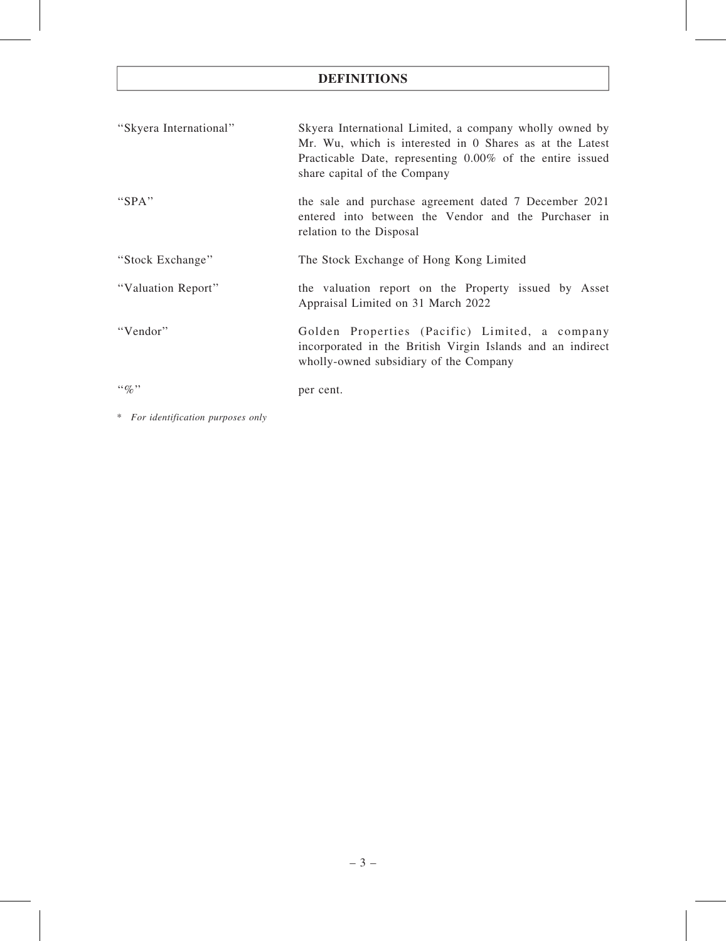## DEFINITIONS

| "Skyera International" | Skyera International Limited, a company wholly owned by<br>Mr. Wu, which is interested in 0 Shares as at the Latest<br>Practicable Date, representing 0.00% of the entire issued<br>share capital of the Company |
|------------------------|------------------------------------------------------------------------------------------------------------------------------------------------------------------------------------------------------------------|
| "SPA"                  | the sale and purchase agreement dated 7 December 2021<br>entered into between the Vendor and the Purchaser in<br>relation to the Disposal                                                                        |
| "Stock Exchange"       | The Stock Exchange of Hong Kong Limited                                                                                                                                                                          |
| "Valuation Report"     | the valuation report on the Property issued by Asset<br>Appraisal Limited on 31 March 2022                                                                                                                       |
| "Vendor"               | Golden Properties (Pacific) Limited, a company<br>incorporated in the British Virgin Islands and an indirect<br>wholly-owned subsidiary of the Company                                                           |
| $``\%"$                | per cent.                                                                                                                                                                                                        |

\* For identification purposes only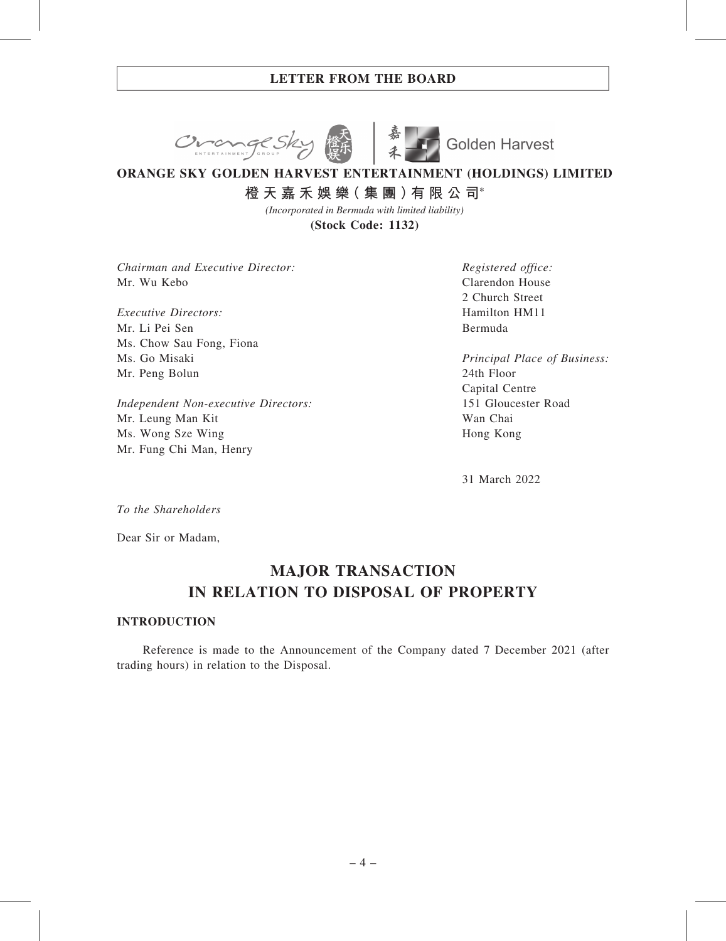



# **ORANGE SKY GOLDEN HARVEST ENTERTAINMENT (HOLDINGS) LIMITED**

**橙 天 嘉 禾 娛 樂( 集 團 )有 限 公 司**\*

**(Stock Code: 1132)** *(Incorporated in Bermuda with limited liability)*

Chairman and Executive Director: Mr. Wu Kebo

Executive Directors: Mr. Li Pei Sen Ms. Chow Sau Fong, Fiona Ms. Go Misaki Mr. Peng Bolun

Independent Non-executive Directors: Mr. Leung Man Kit Ms. Wong Sze Wing Mr. Fung Chi Man, Henry

Registered office: Clarendon House 2 Church Street Hamilton HM11 Bermuda

Principal Place of Business: 24th Floor Capital Centre 151 Gloucester Road Wan Chai Hong Kong

31 March 2022

To the Shareholders

Dear Sir or Madam,

## MAJOR TRANSACTION IN RELATION TO DISPOSAL OF PROPERTY

### INTRODUCTION

Reference is made to the Announcement of the Company dated 7 December 2021 (after trading hours) in relation to the Disposal.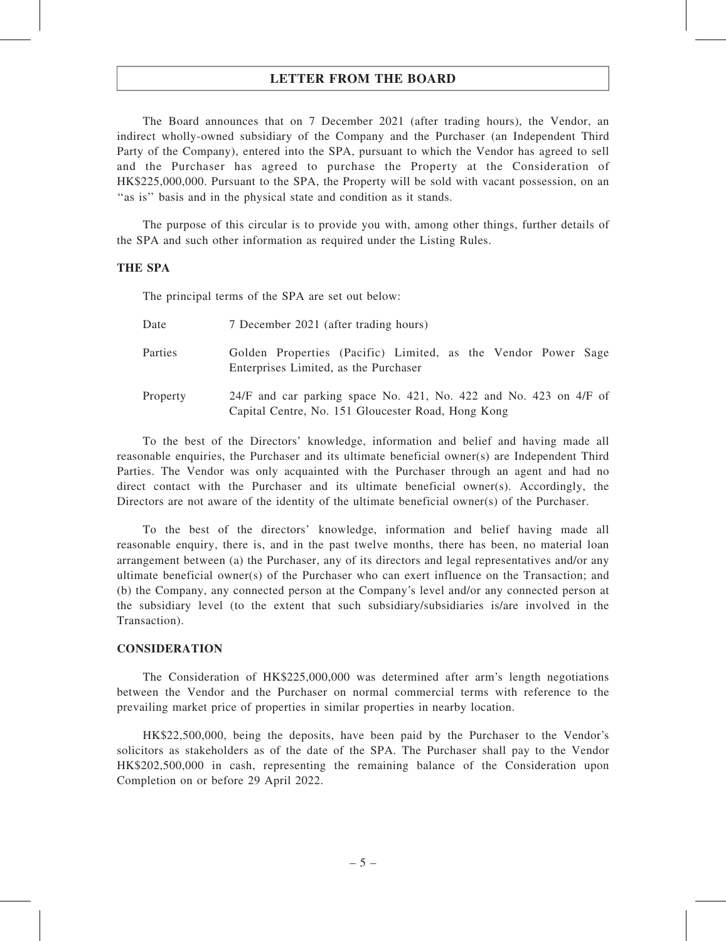The Board announces that on 7 December 2021 (after trading hours), the Vendor, an indirect wholly-owned subsidiary of the Company and the Purchaser (an Independent Third Party of the Company), entered into the SPA, pursuant to which the Vendor has agreed to sell and the Purchaser has agreed to purchase the Property at the Consideration of HK\$225,000,000. Pursuant to the SPA, the Property will be sold with vacant possession, on an "as is" basis and in the physical state and condition as it stands.

The purpose of this circular is to provide you with, among other things, further details of the SPA and such other information as required under the Listing Rules.

#### THE SPA

The principal terms of the SPA are set out below:

| Date     | 7 December 2021 (after trading hours)                                                                                     |  |  |  |
|----------|---------------------------------------------------------------------------------------------------------------------------|--|--|--|
| Parties  | Golden Properties (Pacific) Limited, as the Vendor Power Sage<br>Enterprises Limited, as the Purchaser                    |  |  |  |
| Property | $24/F$ and car parking space No. 421, No. 422 and No. 423 on 4/F of<br>Capital Centre, No. 151 Gloucester Road, Hong Kong |  |  |  |

To the best of the Directors' knowledge, information and belief and having made all reasonable enquiries, the Purchaser and its ultimate beneficial owner(s) are Independent Third Parties. The Vendor was only acquainted with the Purchaser through an agent and had no direct contact with the Purchaser and its ultimate beneficial owner(s). Accordingly, the Directors are not aware of the identity of the ultimate beneficial owner(s) of the Purchaser.

To the best of the directors' knowledge, information and belief having made all reasonable enquiry, there is, and in the past twelve months, there has been, no material loan arrangement between (a) the Purchaser, any of its directors and legal representatives and/or any ultimate beneficial owner(s) of the Purchaser who can exert influence on the Transaction; and (b) the Company, any connected person at the Company's level and/or any connected person at the subsidiary level (to the extent that such subsidiary/subsidiaries is/are involved in the Transaction).

#### **CONSIDERATION**

The Consideration of HK\$225,000,000 was determined after arm's length negotiations between the Vendor and the Purchaser on normal commercial terms with reference to the prevailing market price of properties in similar properties in nearby location.

HK\$22,500,000, being the deposits, have been paid by the Purchaser to the Vendor's solicitors as stakeholders as of the date of the SPA. The Purchaser shall pay to the Vendor HK\$202,500,000 in cash, representing the remaining balance of the Consideration upon Completion on or before 29 April 2022.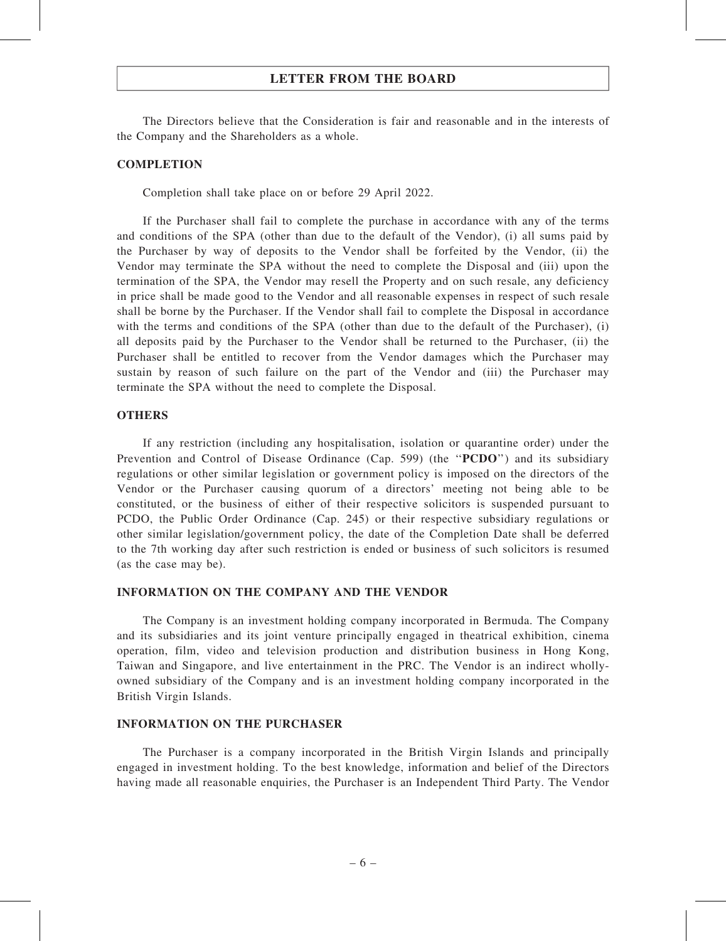The Directors believe that the Consideration is fair and reasonable and in the interests of the Company and the Shareholders as a whole.

#### **COMPLETION**

Completion shall take place on or before 29 April 2022.

If the Purchaser shall fail to complete the purchase in accordance with any of the terms and conditions of the SPA (other than due to the default of the Vendor), (i) all sums paid by the Purchaser by way of deposits to the Vendor shall be forfeited by the Vendor, (ii) the Vendor may terminate the SPA without the need to complete the Disposal and (iii) upon the termination of the SPA, the Vendor may resell the Property and on such resale, any deficiency in price shall be made good to the Vendor and all reasonable expenses in respect of such resale shall be borne by the Purchaser. If the Vendor shall fail to complete the Disposal in accordance with the terms and conditions of the SPA (other than due to the default of the Purchaser), (i) all deposits paid by the Purchaser to the Vendor shall be returned to the Purchaser, (ii) the Purchaser shall be entitled to recover from the Vendor damages which the Purchaser may sustain by reason of such failure on the part of the Vendor and (iii) the Purchaser may terminate the SPA without the need to complete the Disposal.

#### **OTHERS**

If any restriction (including any hospitalisation, isolation or quarantine order) under the Prevention and Control of Disease Ordinance (Cap. 599) (the "**PCDO**") and its subsidiary regulations or other similar legislation or government policy is imposed on the directors of the Vendor or the Purchaser causing quorum of a directors' meeting not being able to be constituted, or the business of either of their respective solicitors is suspended pursuant to PCDO, the Public Order Ordinance (Cap. 245) or their respective subsidiary regulations or other similar legislation/government policy, the date of the Completion Date shall be deferred to the 7th working day after such restriction is ended or business of such solicitors is resumed (as the case may be).

#### INFORMATION ON THE COMPANY AND THE VENDOR

The Company is an investment holding company incorporated in Bermuda. The Company and its subsidiaries and its joint venture principally engaged in theatrical exhibition, cinema operation, film, video and television production and distribution business in Hong Kong, Taiwan and Singapore, and live entertainment in the PRC. The Vendor is an indirect whollyowned subsidiary of the Company and is an investment holding company incorporated in the British Virgin Islands.

#### INFORMATION ON THE PURCHASER

The Purchaser is a company incorporated in the British Virgin Islands and principally engaged in investment holding. To the best knowledge, information and belief of the Directors having made all reasonable enquiries, the Purchaser is an Independent Third Party. The Vendor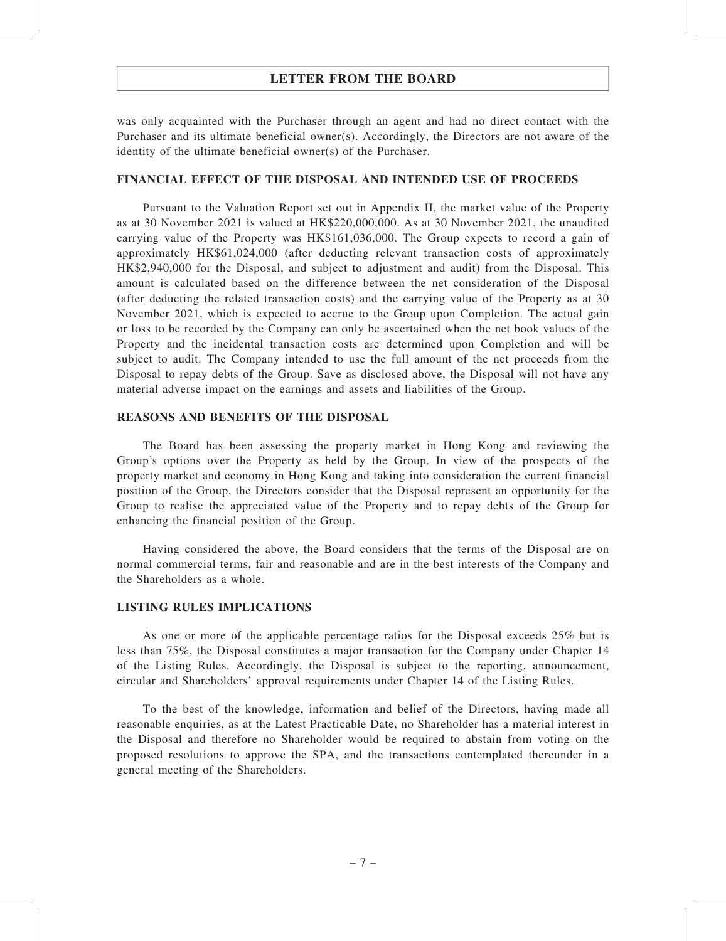was only acquainted with the Purchaser through an agent and had no direct contact with the Purchaser and its ultimate beneficial owner(s). Accordingly, the Directors are not aware of the identity of the ultimate beneficial owner(s) of the Purchaser.

#### FINANCIAL EFFECT OF THE DISPOSAL AND INTENDED USE OF PROCEEDS

Pursuant to the Valuation Report set out in Appendix II, the market value of the Property as at 30 November 2021 is valued at HK\$220,000,000. As at 30 November 2021, the unaudited carrying value of the Property was HK\$161,036,000. The Group expects to record a gain of approximately HK\$61,024,000 (after deducting relevant transaction costs of approximately HK\$2,940,000 for the Disposal, and subject to adjustment and audit) from the Disposal. This amount is calculated based on the difference between the net consideration of the Disposal (after deducting the related transaction costs) and the carrying value of the Property as at 30 November 2021, which is expected to accrue to the Group upon Completion. The actual gain or loss to be recorded by the Company can only be ascertained when the net book values of the Property and the incidental transaction costs are determined upon Completion and will be subject to audit. The Company intended to use the full amount of the net proceeds from the Disposal to repay debts of the Group. Save as disclosed above, the Disposal will not have any material adverse impact on the earnings and assets and liabilities of the Group.

#### REASONS AND BENEFITS OF THE DISPOSAL

The Board has been assessing the property market in Hong Kong and reviewing the Group's options over the Property as held by the Group. In view of the prospects of the property market and economy in Hong Kong and taking into consideration the current financial position of the Group, the Directors consider that the Disposal represent an opportunity for the Group to realise the appreciated value of the Property and to repay debts of the Group for enhancing the financial position of the Group.

Having considered the above, the Board considers that the terms of the Disposal are on normal commercial terms, fair and reasonable and are in the best interests of the Company and the Shareholders as a whole.

#### LISTING RULES IMPLICATIONS

As one or more of the applicable percentage ratios for the Disposal exceeds 25% but is less than 75%, the Disposal constitutes a major transaction for the Company under Chapter 14 of the Listing Rules. Accordingly, the Disposal is subject to the reporting, announcement, circular and Shareholders' approval requirements under Chapter 14 of the Listing Rules.

To the best of the knowledge, information and belief of the Directors, having made all reasonable enquiries, as at the Latest Practicable Date, no Shareholder has a material interest in the Disposal and therefore no Shareholder would be required to abstain from voting on the proposed resolutions to approve the SPA, and the transactions contemplated thereunder in a general meeting of the Shareholders.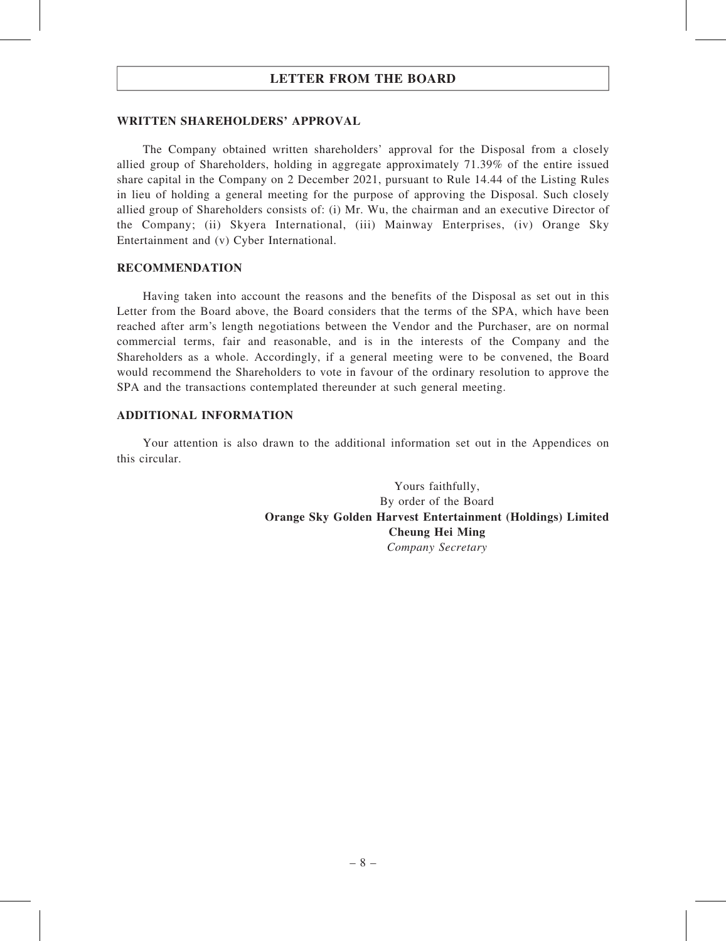#### WRITTEN SHAREHOLDERS' APPROVAL

The Company obtained written shareholders' approval for the Disposal from a closely allied group of Shareholders, holding in aggregate approximately 71.39% of the entire issued share capital in the Company on 2 December 2021, pursuant to Rule 14.44 of the Listing Rules in lieu of holding a general meeting for the purpose of approving the Disposal. Such closely allied group of Shareholders consists of: (i) Mr. Wu, the chairman and an executive Director of the Company; (ii) Skyera International, (iii) Mainway Enterprises, (iv) Orange Sky Entertainment and (v) Cyber International.

#### RECOMMENDATION

Having taken into account the reasons and the benefits of the Disposal as set out in this Letter from the Board above, the Board considers that the terms of the SPA, which have been reached after arm's length negotiations between the Vendor and the Purchaser, are on normal commercial terms, fair and reasonable, and is in the interests of the Company and the Shareholders as a whole. Accordingly, if a general meeting were to be convened, the Board would recommend the Shareholders to vote in favour of the ordinary resolution to approve the SPA and the transactions contemplated thereunder at such general meeting.

#### ADDITIONAL INFORMATION

Your attention is also drawn to the additional information set out in the Appendices on this circular.

> Yours faithfully, By order of the Board Orange Sky Golden Harvest Entertainment (Holdings) Limited Cheung Hei Ming Company Secretary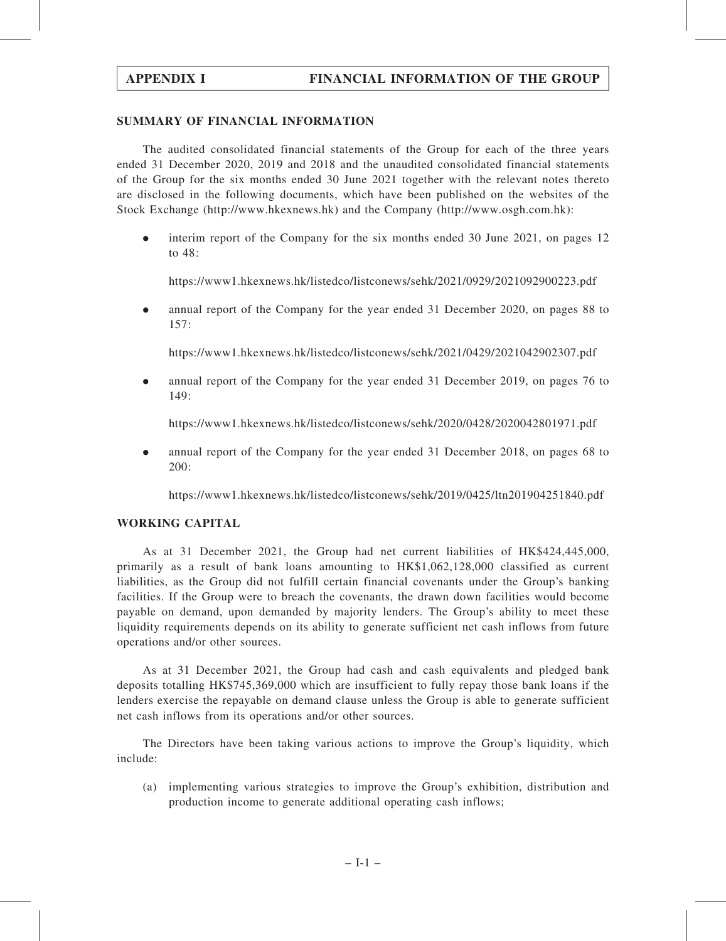#### SUMMARY OF FINANCIAL INFORMATION

The audited consolidated financial statements of the Group for each of the three years ended 31 December 2020, 2019 and 2018 and the unaudited consolidated financial statements of the Group for the six months ended 30 June 2021 together with the relevant notes thereto are disclosed in the following documents, which have been published on the websites of the Stock Exchange (http://www.hkexnews.hk) and the Company (<http://www.osgh.com.hk>):

. interim report of the Company for the six months ended 30 June 2021, on pages 12 to 48:

https://www1.hkexnews.hk/listedco/listconews/sehk/2021/0929/2021092900223.pdf

. annual report of the Company for the year ended 31 December 2020, on pages 88 to 157:

https://www1.hkexnews.hk/listedco/listconews/sehk/2021/0429/2021042902307.pdf

. annual report of the Company for the year ended 31 December 2019, on pages 76 to 149:

https://www1.hkexnews.hk/listedco/listconews/sehk/2020/0428/2020042801971.pdf

. annual report of the Company for the year ended 31 December 2018, on pages 68 to 200:

https://www1.hkexnews.hk/listedco/listconews/sehk/2019/0425/ltn201904251840.pdf

### WORKING CAPITAL

As at 31 December 2021, the Group had net current liabilities of HK\$424,445,000, primarily as a result of bank loans amounting to HK\$1,062,128,000 classified as current liabilities, as the Group did not fulfill certain financial covenants under the Group's banking facilities. If the Group were to breach the covenants, the drawn down facilities would become payable on demand, upon demanded by majority lenders. The Group's ability to meet these liquidity requirements depends on its ability to generate sufficient net cash inflows from future operations and/or other sources.

As at 31 December 2021, the Group had cash and cash equivalents and pledged bank deposits totalling HK\$745,369,000 which are insufficient to fully repay those bank loans if the lenders exercise the repayable on demand clause unless the Group is able to generate sufficient net cash inflows from its operations and/or other sources.

The Directors have been taking various actions to improve the Group's liquidity, which include:

(a) implementing various strategies to improve the Group's exhibition, distribution and production income to generate additional operating cash inflows;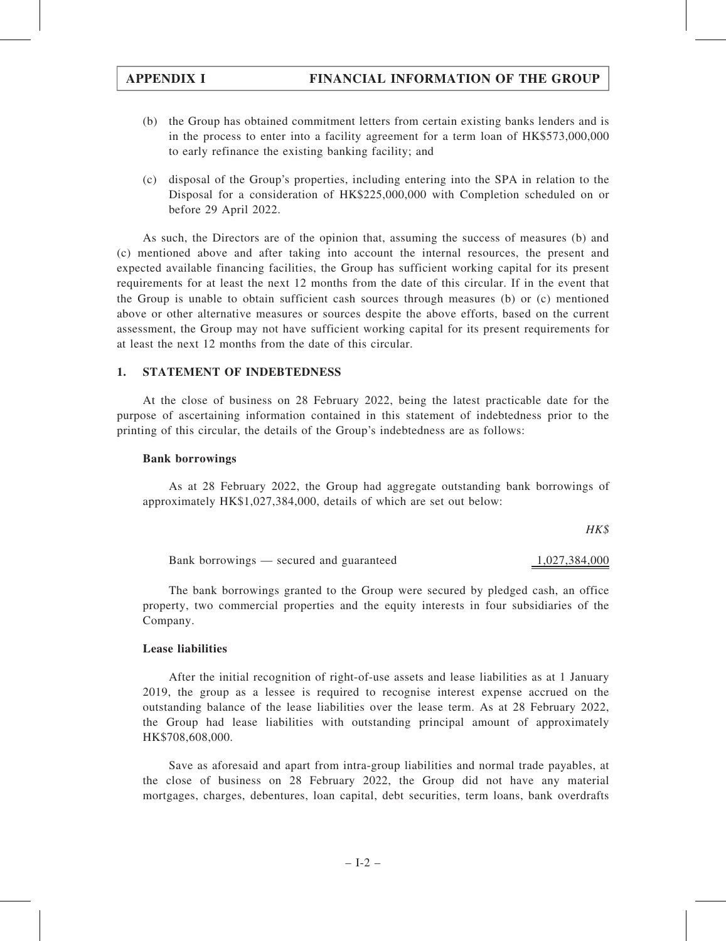- (b) the Group has obtained commitment letters from certain existing banks lenders and is in the process to enter into a facility agreement for a term loan of HK\$573,000,000 to early refinance the existing banking facility; and
- (c) disposal of the Group's properties, including entering into the SPA in relation to the Disposal for a consideration of HK\$225,000,000 with Completion scheduled on or before 29 April 2022.

As such, the Directors are of the opinion that, assuming the success of measures (b) and (c) mentioned above and after taking into account the internal resources, the present and expected available financing facilities, the Group has sufficient working capital for its present requirements for at least the next 12 months from the date of this circular. If in the event that the Group is unable to obtain sufficient cash sources through measures (b) or (c) mentioned above or other alternative measures or sources despite the above efforts, based on the current assessment, the Group may not have sufficient working capital for its present requirements for at least the next 12 months from the date of this circular.

### 1. STATEMENT OF INDEBTEDNESS

At the close of business on 28 February 2022, being the latest practicable date for the purpose of ascertaining information contained in this statement of indebtedness prior to the printing of this circular, the details of the Group's indebtedness are as follows:

### Bank borrowings

As at 28 February 2022, the Group had aggregate outstanding bank borrowings of approximately HK\$1,027,384,000, details of which are set out below:

HK\$

Bank borrowings — secured and guaranteed 1,027,384,000

The bank borrowings granted to the Group were secured by pledged cash, an office property, two commercial properties and the equity interests in four subsidiaries of the Company.

### Lease liabilities

After the initial recognition of right-of-use assets and lease liabilities as at 1 January 2019, the group as a lessee is required to recognise interest expense accrued on the outstanding balance of the lease liabilities over the lease term. As at 28 February 2022, the Group had lease liabilities with outstanding principal amount of approximately HK\$708,608,000.

Save as aforesaid and apart from intra-group liabilities and normal trade payables, at the close of business on 28 February 2022, the Group did not have any material mortgages, charges, debentures, loan capital, debt securities, term loans, bank overdrafts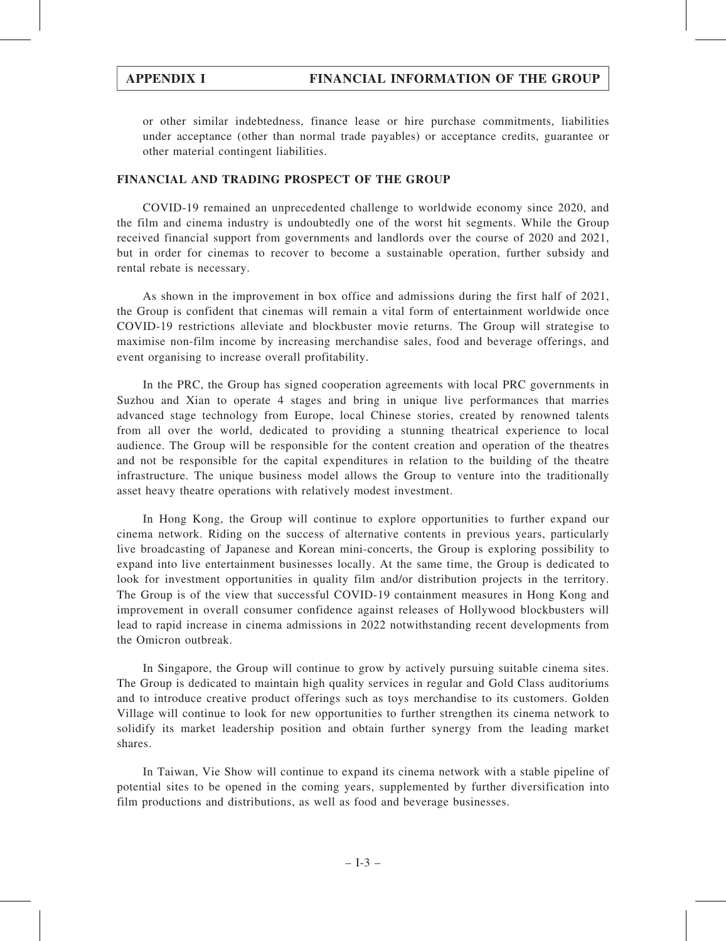or other similar indebtedness, finance lease or hire purchase commitments, liabilities under acceptance (other than normal trade payables) or acceptance credits, guarantee or other material contingent liabilities.

#### FINANCIAL AND TRADING PROSPECT OF THE GROUP

COVID-19 remained an unprecedented challenge to worldwide economy since 2020, and the film and cinema industry is undoubtedly one of the worst hit segments. While the Group received financial support from governments and landlords over the course of 2020 and 2021, but in order for cinemas to recover to become a sustainable operation, further subsidy and rental rebate is necessary.

As shown in the improvement in box office and admissions during the first half of 2021, the Group is confident that cinemas will remain a vital form of entertainment worldwide once COVID-19 restrictions alleviate and blockbuster movie returns. The Group will strategise to maximise non-film income by increasing merchandise sales, food and beverage offerings, and event organising to increase overall profitability.

In the PRC, the Group has signed cooperation agreements with local PRC governments in Suzhou and Xian to operate 4 stages and bring in unique live performances that marries advanced stage technology from Europe, local Chinese stories, created by renowned talents from all over the world, dedicated to providing a stunning theatrical experience to local audience. The Group will be responsible for the content creation and operation of the theatres and not be responsible for the capital expenditures in relation to the building of the theatre infrastructure. The unique business model allows the Group to venture into the traditionally asset heavy theatre operations with relatively modest investment.

In Hong Kong, the Group will continue to explore opportunities to further expand our cinema network. Riding on the success of alternative contents in previous years, particularly live broadcasting of Japanese and Korean mini-concerts, the Group is exploring possibility to expand into live entertainment businesses locally. At the same time, the Group is dedicated to look for investment opportunities in quality film and/or distribution projects in the territory. The Group is of the view that successful COVID-19 containment measures in Hong Kong and improvement in overall consumer confidence against releases of Hollywood blockbusters will lead to rapid increase in cinema admissions in 2022 notwithstanding recent developments from the Omicron outbreak.

In Singapore, the Group will continue to grow by actively pursuing suitable cinema sites. The Group is dedicated to maintain high quality services in regular and Gold Class auditoriums and to introduce creative product offerings such as toys merchandise to its customers. Golden Village will continue to look for new opportunities to further strengthen its cinema network to solidify its market leadership position and obtain further synergy from the leading market shares.

In Taiwan, Vie Show will continue to expand its cinema network with a stable pipeline of potential sites to be opened in the coming years, supplemented by further diversification into film productions and distributions, as well as food and beverage businesses.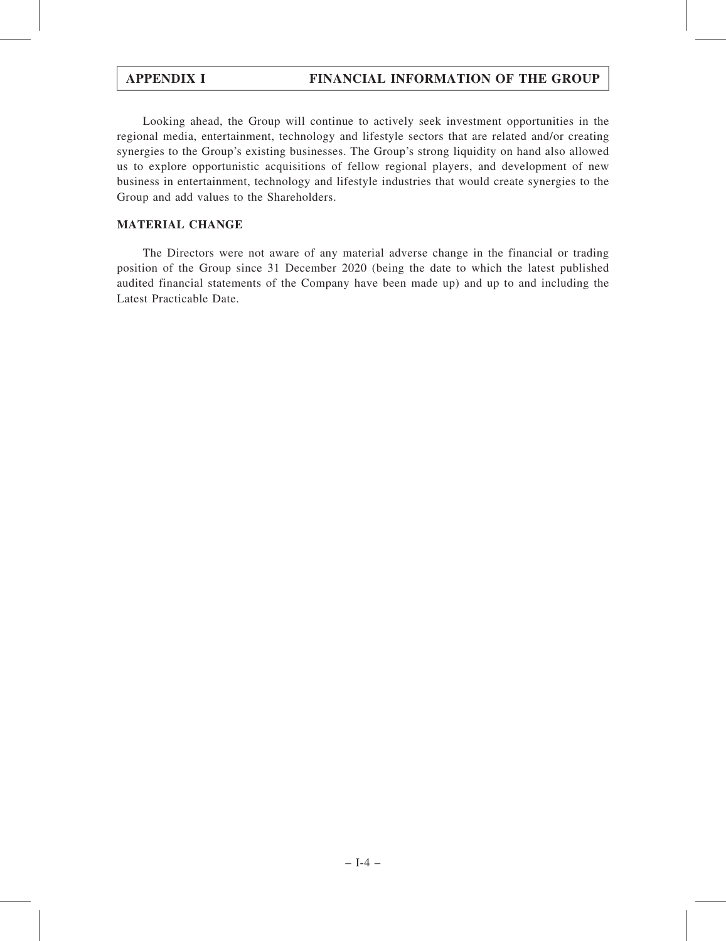Looking ahead, the Group will continue to actively seek investment opportunities in the regional media, entertainment, technology and lifestyle sectors that are related and/or creating synergies to the Group's existing businesses. The Group's strong liquidity on hand also allowed us to explore opportunistic acquisitions of fellow regional players, and development of new business in entertainment, technology and lifestyle industries that would create synergies to the Group and add values to the Shareholders.

### MATERIAL CHANGE

The Directors were not aware of any material adverse change in the financial or trading position of the Group since 31 December 2020 (being the date to which the latest published audited financial statements of the Company have been made up) and up to and including the Latest Practicable Date.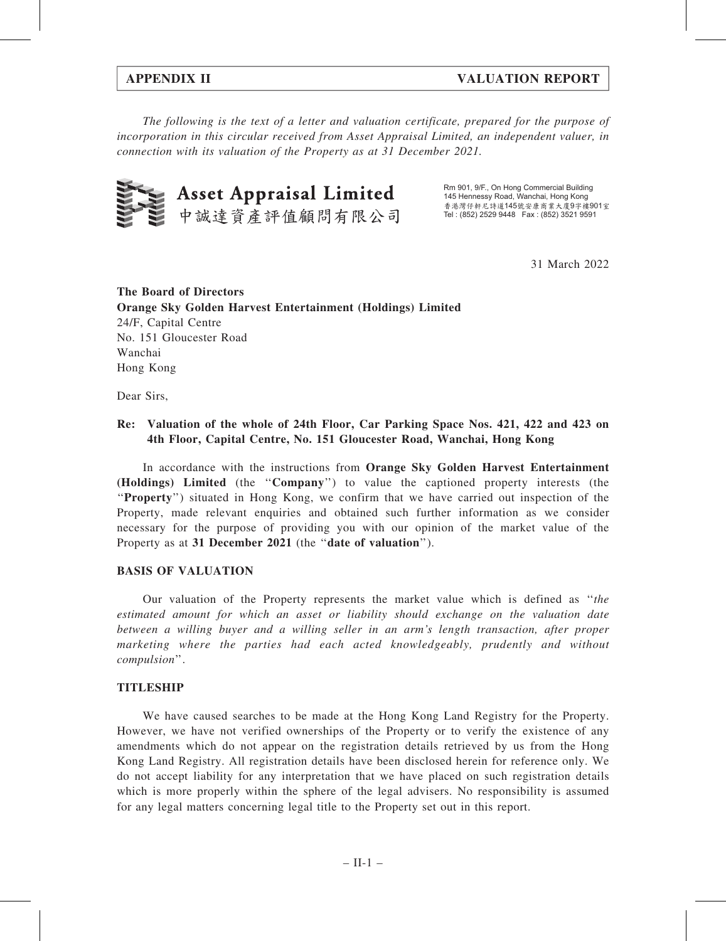The following is the text of a letter and valuation certificate, prepared for the purpose of incorporation in this circular received from Asset Appraisal Limited, an independent valuer, in connection with its valuation of the Property as at 31 December 2021.



Rm 901, 9/F., On Hong Commercial Building 145 Hennessy Road, Wanchai, Hong Kong 香港灣仔軒尼詩道145號安康商業大廈9字樓901室 Tel : (852) 2529 9448 Fax : (852) 3521 9591

31 March 2022

The Board of Directors Orange Sky Golden Harvest Entertainment (Holdings) Limited 24/F, Capital Centre No. 151 Gloucester Road Wanchai Hong Kong

Dear Sirs,

### Re: Valuation of the whole of 24th Floor, Car Parking Space Nos. 421, 422 and 423 on 4th Floor, Capital Centre, No. 151 Gloucester Road, Wanchai, Hong Kong

In accordance with the instructions from Orange Sky Golden Harvest Entertainment (Holdings) Limited (the ''Company'') to value the captioned property interests (the ''Property'') situated in Hong Kong, we confirm that we have carried out inspection of the Property, made relevant enquiries and obtained such further information as we consider necessary for the purpose of providing you with our opinion of the market value of the Property as at 31 December 2021 (the "date of valuation").

### BASIS OF VALUATION

Our valuation of the Property represents the market value which is defined as ''the estimated amount for which an asset or liability should exchange on the valuation date between a willing buyer and a willing seller in an arm's length transaction, after proper marketing where the parties had each acted knowledgeably, prudently and without compulsion''.

### TITLESHIP

We have caused searches to be made at the Hong Kong Land Registry for the Property. However, we have not verified ownerships of the Property or to verify the existence of any amendments which do not appear on the registration details retrieved by us from the Hong Kong Land Registry. All registration details have been disclosed herein for reference only. We do not accept liability for any interpretation that we have placed on such registration details which is more properly within the sphere of the legal advisers. No responsibility is assumed for any legal matters concerning legal title to the Property set out in this report.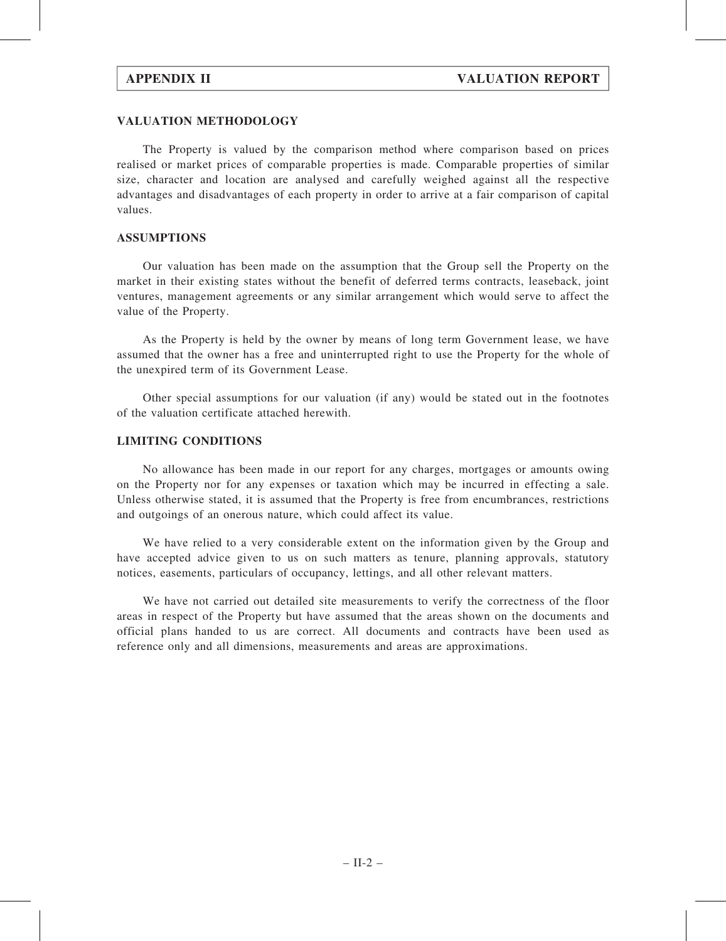#### VALUATION METHODOLOGY

The Property is valued by the comparison method where comparison based on prices realised or market prices of comparable properties is made. Comparable properties of similar size, character and location are analysed and carefully weighed against all the respective advantages and disadvantages of each property in order to arrive at a fair comparison of capital values.

#### ASSUMPTIONS

Our valuation has been made on the assumption that the Group sell the Property on the market in their existing states without the benefit of deferred terms contracts, leaseback, joint ventures, management agreements or any similar arrangement which would serve to affect the value of the Property.

As the Property is held by the owner by means of long term Government lease, we have assumed that the owner has a free and uninterrupted right to use the Property for the whole of the unexpired term of its Government Lease.

Other special assumptions for our valuation (if any) would be stated out in the footnotes of the valuation certificate attached herewith.

#### LIMITING CONDITIONS

No allowance has been made in our report for any charges, mortgages or amounts owing on the Property nor for any expenses or taxation which may be incurred in effecting a sale. Unless otherwise stated, it is assumed that the Property is free from encumbrances, restrictions and outgoings of an onerous nature, which could affect its value.

We have relied to a very considerable extent on the information given by the Group and have accepted advice given to us on such matters as tenure, planning approvals, statutory notices, easements, particulars of occupancy, lettings, and all other relevant matters.

We have not carried out detailed site measurements to verify the correctness of the floor areas in respect of the Property but have assumed that the areas shown on the documents and official plans handed to us are correct. All documents and contracts have been used as reference only and all dimensions, measurements and areas are approximations.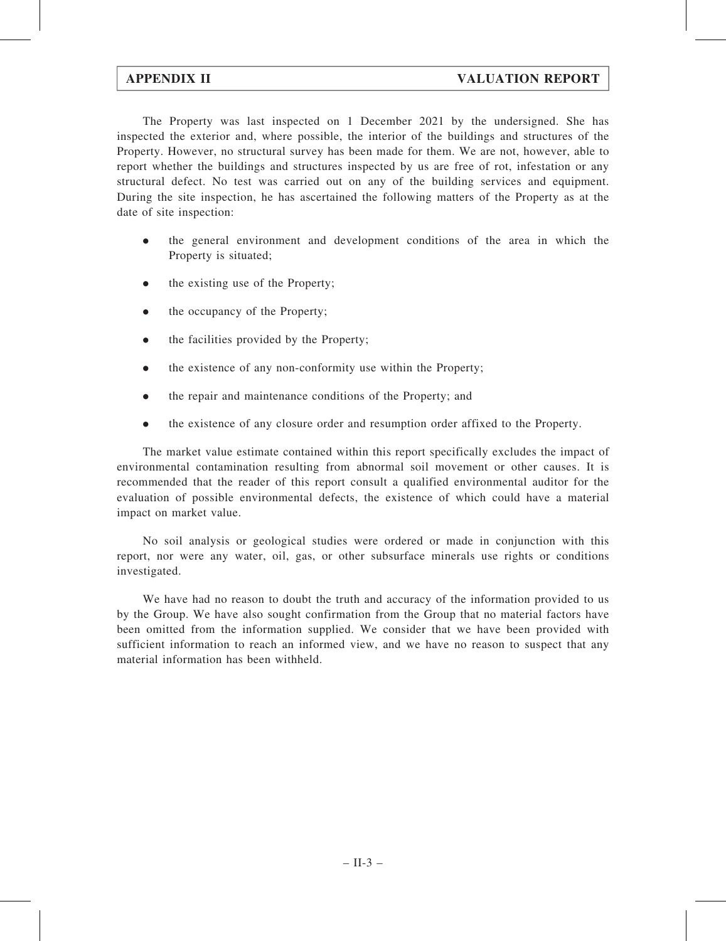The Property was last inspected on 1 December 2021 by the undersigned. She has inspected the exterior and, where possible, the interior of the buildings and structures of the Property. However, no structural survey has been made for them. We are not, however, able to report whether the buildings and structures inspected by us are free of rot, infestation or any structural defect. No test was carried out on any of the building services and equipment. During the site inspection, he has ascertained the following matters of the Property as at the date of site inspection:

- . the general environment and development conditions of the area in which the Property is situated;
- . the existing use of the Property;
- the occupancy of the Property;
- the facilities provided by the Property;
- the existence of any non-conformity use within the Property;
- . the repair and maintenance conditions of the Property; and
- . the existence of any closure order and resumption order affixed to the Property.

The market value estimate contained within this report specifically excludes the impact of environmental contamination resulting from abnormal soil movement or other causes. It is recommended that the reader of this report consult a qualified environmental auditor for the evaluation of possible environmental defects, the existence of which could have a material impact on market value.

No soil analysis or geological studies were ordered or made in conjunction with this report, nor were any water, oil, gas, or other subsurface minerals use rights or conditions investigated.

We have had no reason to doubt the truth and accuracy of the information provided to us by the Group. We have also sought confirmation from the Group that no material factors have been omitted from the information supplied. We consider that we have been provided with sufficient information to reach an informed view, and we have no reason to suspect that any material information has been withheld.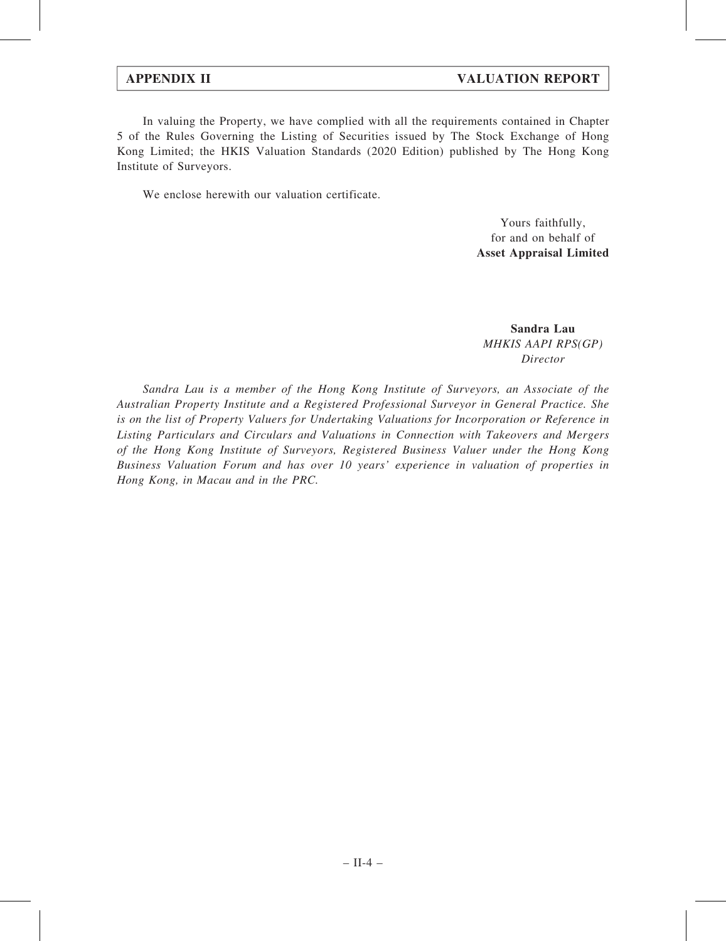In valuing the Property, we have complied with all the requirements contained in Chapter 5 of the Rules Governing the Listing of Securities issued by The Stock Exchange of Hong Kong Limited; the HKIS Valuation Standards (2020 Edition) published by The Hong Kong Institute of Surveyors.

We enclose herewith our valuation certificate.

Yours faithfully, for and on behalf of Asset Appraisal Limited

Sandra Lau MHKIS AAPI RPS(GP) Director

Sandra Lau is a member of the Hong Kong Institute of Surveyors, an Associate of the Australian Property Institute and a Registered Professional Surveyor in General Practice. She is on the list of Property Valuers for Undertaking Valuations for Incorporation or Reference in Listing Particulars and Circulars and Valuations in Connection with Takeovers and Mergers of the Hong Kong Institute of Surveyors, Registered Business Valuer under the Hong Kong Business Valuation Forum and has over 10 years' experience in valuation of properties in Hong Kong, in Macau and in the PRC.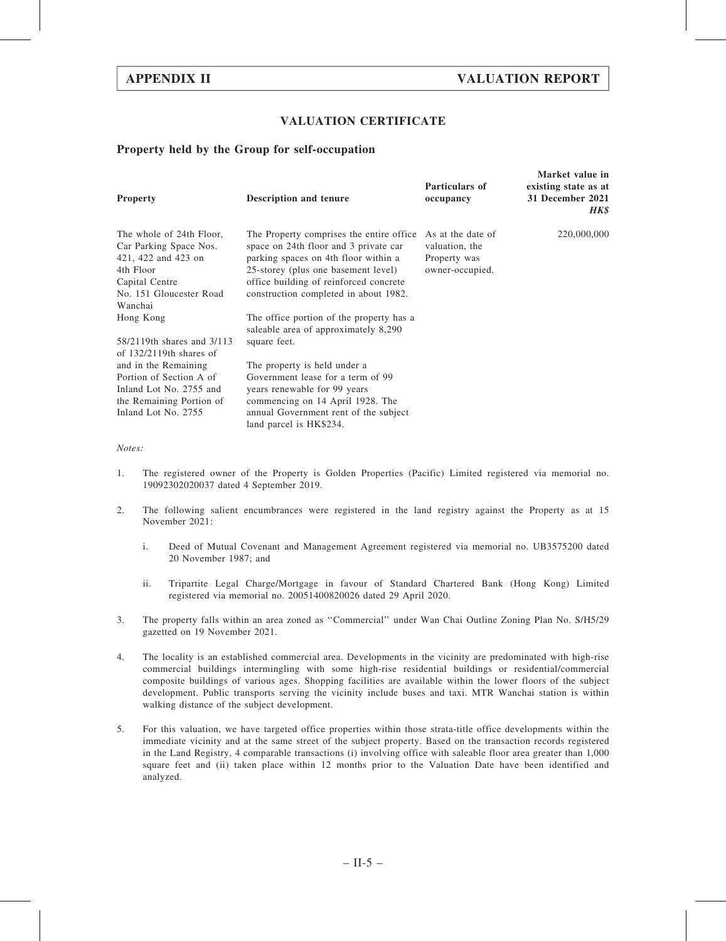Morket value in

#### VALUATION CERTIFICATE

#### Property held by the Group for self-occupation

| <b>Property</b>                                                                                                                                             | <b>Description and tenure</b>                                                                                                                                                                                                                        | Particulars of<br>occupancy                                            | <b>IVIALKEL VAILLE III</b><br>existing state as at<br>31 December 2021<br>HK\$ |
|-------------------------------------------------------------------------------------------------------------------------------------------------------------|------------------------------------------------------------------------------------------------------------------------------------------------------------------------------------------------------------------------------------------------------|------------------------------------------------------------------------|--------------------------------------------------------------------------------|
| The whole of 24th Floor,<br>Car Parking Space Nos.<br>421, 422 and 423 on<br>4th Floor<br>Capital Centre<br>No. 151 Gloucester Road<br>Wanchai              | The Property comprises the entire office.<br>space on 24th floor and 3 private car<br>parking spaces on 4th floor within a<br>25-storey (plus one basement level)<br>office building of reinforced concrete<br>construction completed in about 1982. | As at the date of<br>valuation, the<br>Property was<br>owner-occupied. | 220,000,000                                                                    |
| Hong Kong<br>58/2119th shares and 3/113                                                                                                                     | The office portion of the property has a<br>saleable area of approximately 8,290<br>square feet.                                                                                                                                                     |                                                                        |                                                                                |
| of $132/2119$ th shares of<br>and in the Remaining<br>Portion of Section A of<br>Inland Lot No. 2755 and<br>the Remaining Portion of<br>Inland Lot No. 2755 | The property is held under a<br>Government lease for a term of 99<br>years renewable for 99 years<br>commencing on 14 April 1928. The<br>annual Government rent of the subject<br>land parcel is HK\$234.                                            |                                                                        |                                                                                |

Notes:

- 1. The registered owner of the Property is Golden Properties (Pacific) Limited registered via memorial no. 19092302020037 dated 4 September 2019.
- 2. The following salient encumbrances were registered in the land registry against the Property as at 15 November 2021:
	- i. Deed of Mutual Covenant and Management Agreement registered via memorial no. UB3575200 dated 20 November 1987; and
	- ii. Tripartite Legal Charge/Mortgage in favour of Standard Chartered Bank (Hong Kong) Limited registered via memorial no. 20051400820026 dated 29 April 2020.
- 3. The property falls within an area zoned as ''Commercial'' under Wan Chai Outline Zoning Plan No. S/H5/29 gazetted on 19 November 2021.
- 4. The locality is an established commercial area. Developments in the vicinity are predominated with high-rise commercial buildings intermingling with some high-rise residential buildings or residential/commercial composite buildings of various ages. Shopping facilities are available within the lower floors of the subject development. Public transports serving the vicinity include buses and taxi. MTR Wanchai station is within walking distance of the subject development.
- 5. For this valuation, we have targeted office properties within those strata-title office developments within the immediate vicinity and at the same street of the subject property. Based on the transaction records registered in the Land Registry, 4 comparable transactions (i) involving office with saleable floor area greater than 1,000 square feet and (ii) taken place within 12 months prior to the Valuation Date have been identified and analyzed.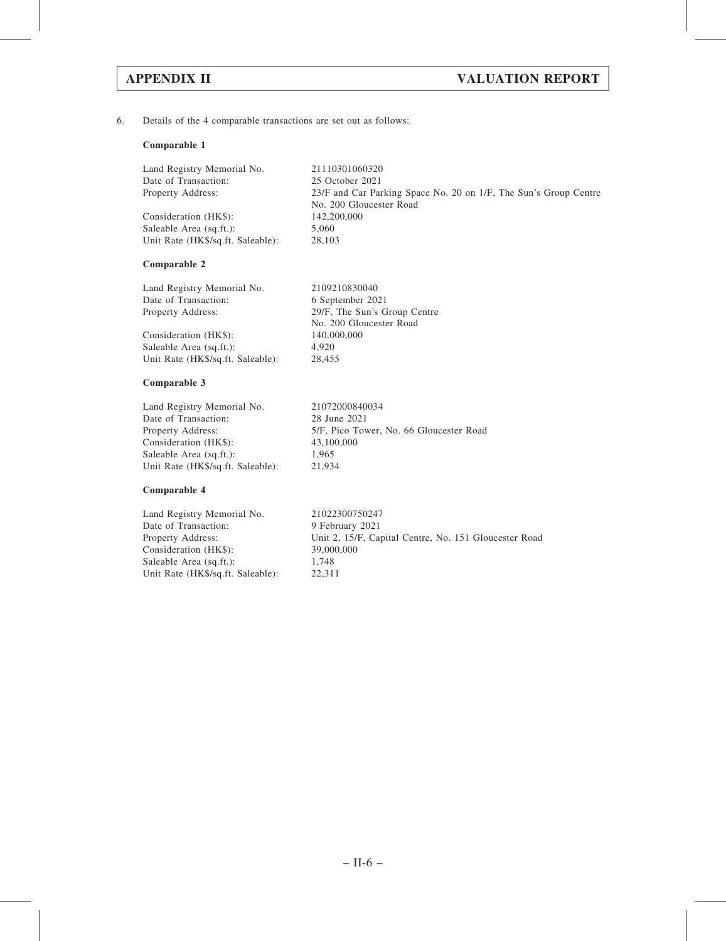6. Details of the 4 comparable transactions are set out as follows:

#### Comparable 1

| Land Registry Memorial No.        | 21110301060320                                                   |
|-----------------------------------|------------------------------------------------------------------|
| Date of Transaction:              | 25 October 2021                                                  |
| Property Address:                 | 23/F and Car Parking Space No. 20 on 1/F, The Sun's Group Centre |
|                                   | No. 200 Gloucester Road                                          |
| Consideration (HK\$):             | 142,200,000                                                      |
| Saleable Area (sq.ft.):           | 5.060                                                            |
| Unit Rate (HK\$/sq.ft. Saleable): | 28,103                                                           |

#### Comparable 2

| 2109210830040                |
|------------------------------|
| 6 September 2021             |
| 29/F, The Sun's Group Centre |
| No. 200 Gloucester Road      |
| 140,000,000                  |
| 4.920                        |
| 28,455                       |
|                              |

#### Comparable 3

| 21072000840034                          |
|-----------------------------------------|
| 28 June 2021                            |
| 5/F, Pico Tower, No. 66 Gloucester Road |
| 43,100,000                              |
| 1.965                                   |
| 21,934                                  |
|                                         |

#### Comparable 4

Land Registry Memorial No. 21022300750247 Date of Transaction: 9 February 2021<br>Property Address: Unit 2, 15/F, Cap Consideration (HK\$): 39,00<br>Saleable Area (sq.ft.): 1,748 Saleable Area (sq.ft.): 1,748<br>Unit Rate (HK\$/sq.ft. Saleable): 22,311 Unit Rate (HK\$/sq.ft. Saleable):

Unit 2, 15/F, Capital Centre, No. 151 Gloucester Road 39,000,000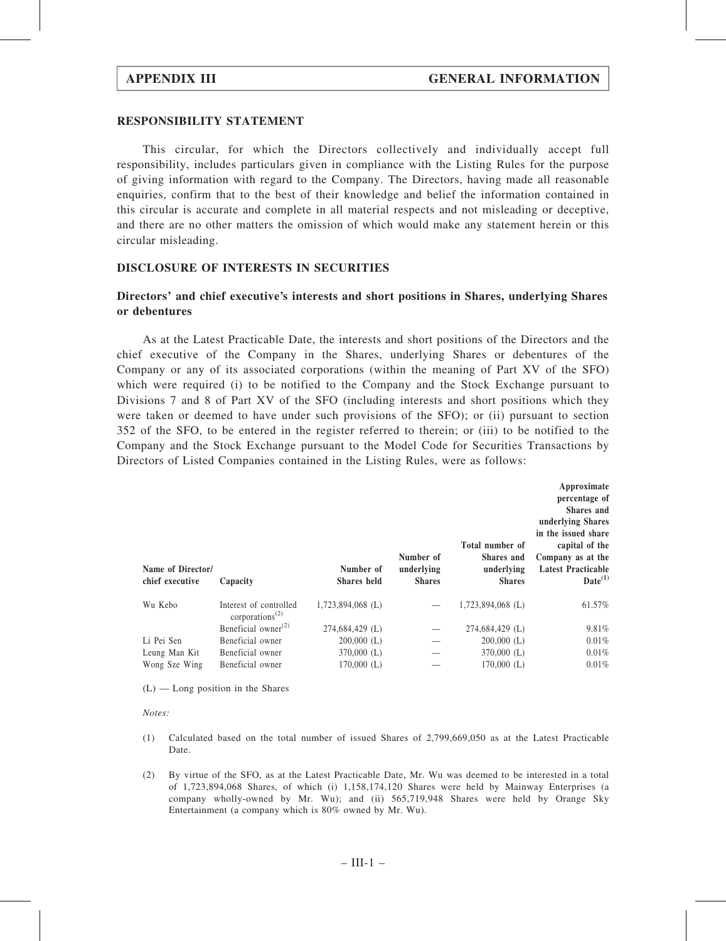#### RESPONSIBILITY STATEMENT

This circular, for which the Directors collectively and individually accept full responsibility, includes particulars given in compliance with the Listing Rules for the purpose of giving information with regard to the Company. The Directors, having made all reasonable enquiries, confirm that to the best of their knowledge and belief the information contained in this circular is accurate and complete in all material respects and not misleading or deceptive, and there are no other matters the omission of which would make any statement herein or this circular misleading.

#### DISCLOSURE OF INTERESTS IN SECURITIES

### Directors' and chief executive's interests and short positions in Shares, underlying Shares or debentures

As at the Latest Practicable Date, the interests and short positions of the Directors and the chief executive of the Company in the Shares, underlying Shares or debentures of the Company or any of its associated corporations (within the meaning of Part XV of the SFO) which were required (i) to be notified to the Company and the Stock Exchange pursuant to Divisions 7 and 8 of Part XV of the SFO (including interests and short positions which they were taken or deemed to have under such provisions of the SFO); or (ii) pursuant to section 352 of the SFO, to be entered in the register referred to therein; or (iii) to be notified to the Company and the Stock Exchange pursuant to the Model Code for Securities Transactions by Directors of Listed Companies contained in the Listing Rules, were as follows:

| Name of Director/<br>chief executive | Capacity                                                           | Number of<br>Shares held | Number of<br>underlying<br><b>Shares</b> | Total number of<br>Shares and<br>underlying<br><b>Shares</b> | Approximate<br>percentage of<br><b>Shares</b> and<br>underlying Shares<br>in the issued share<br>capital of the<br>Company as at the<br><b>Latest Practicable</b><br>$Date^{(1)}$ |
|--------------------------------------|--------------------------------------------------------------------|--------------------------|------------------------------------------|--------------------------------------------------------------|-----------------------------------------------------------------------------------------------------------------------------------------------------------------------------------|
| Wu Kebo                              | Interest of controlled<br>corporations <sup><math>(2)</math></sup> | $1,723,894,068$ (L)      |                                          | $1,723,894,068$ (L)                                          | 61.57%                                                                                                                                                                            |
|                                      | Beneficial owner $^{(2)}$                                          | 274,684,429 (L)          |                                          | 274,684,429 (L)                                              | 9.81%                                                                                                                                                                             |
| Li Pei Sen                           | Beneficial owner                                                   | $200,000$ (L)            |                                          | $200,000$ (L)                                                | 0.01%                                                                                                                                                                             |
| Leung Man Kit                        | Beneficial owner                                                   | $370,000$ (L)            |                                          | $370,000$ (L)                                                | 0.01%                                                                                                                                                                             |
| Wong Sze Wing                        | Beneficial owner                                                   | $170,000$ (L)            |                                          | $170,000$ (L)                                                | 0.01%                                                                                                                                                                             |

 $(L)$  — Long position in the Shares

Notes:

- (1) Calculated based on the total number of issued Shares of 2,799,669,050 as at the Latest Practicable Date.
- (2) By virtue of the SFO, as at the Latest Practicable Date, Mr. Wu was deemed to be interested in a total of 1,723,894,068 Shares, of which (i) 1,158,174,120 Shares were held by Mainway Enterprises (a company wholly-owned by Mr. Wu); and (ii) 565,719,948 Shares were held by Orange Sky Entertainment (a company which is 80% owned by Mr. Wu).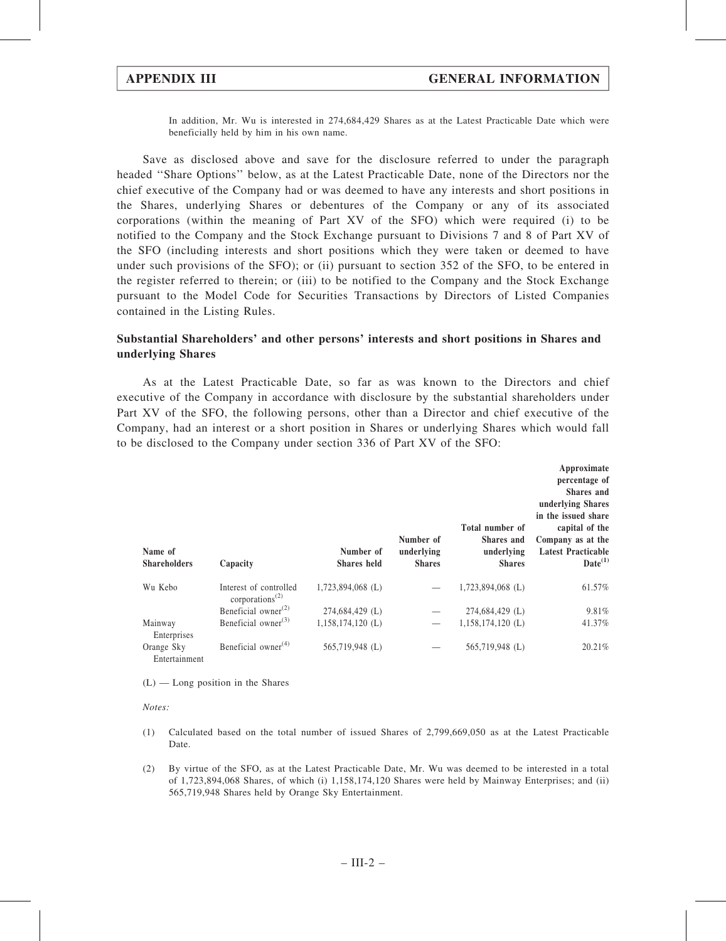In addition, Mr. Wu is interested in 274,684,429 Shares as at the Latest Practicable Date which were beneficially held by him in his own name.

Save as disclosed above and save for the disclosure referred to under the paragraph headed ''Share Options'' below, as at the Latest Practicable Date, none of the Directors nor the chief executive of the Company had or was deemed to have any interests and short positions in the Shares, underlying Shares or debentures of the Company or any of its associated corporations (within the meaning of Part XV of the SFO) which were required (i) to be notified to the Company and the Stock Exchange pursuant to Divisions 7 and 8 of Part XV of the SFO (including interests and short positions which they were taken or deemed to have under such provisions of the SFO); or (ii) pursuant to section 352 of the SFO, to be entered in the register referred to therein; or (iii) to be notified to the Company and the Stock Exchange pursuant to the Model Code for Securities Transactions by Directors of Listed Companies contained in the Listing Rules.

#### Substantial Shareholders' and other persons' interests and short positions in Shares and underlying Shares

As at the Latest Practicable Date, so far as was known to the Directors and chief executive of the Company in accordance with disclosure by the substantial shareholders under Part XV of the SFO, the following persons, other than a Director and chief executive of the Company, had an interest or a short position in Shares or underlying Shares which would fall to be disclosed to the Company under section 336 of Part XV of the SFO:

| Name of<br><b>Shareholders</b> | Capacity                                                           | Number of<br><b>Shares</b> held | Number of<br>underlying<br><b>Shares</b> | Total number of<br><b>Shares</b> and<br>underlying<br><b>Shares</b> | Approximate<br>percentage of<br><b>Shares</b> and<br>underlying Shares<br>in the issued share<br>capital of the<br>Company as at the<br><b>Latest Practicable</b><br>$Date^{(1)}$ |
|--------------------------------|--------------------------------------------------------------------|---------------------------------|------------------------------------------|---------------------------------------------------------------------|-----------------------------------------------------------------------------------------------------------------------------------------------------------------------------------|
| Wu Kebo                        | Interest of controlled<br>corporations <sup><math>(2)</math></sup> | $1,723,894,068$ (L)             |                                          | $1,723,894,068$ (L)                                                 | 61.57%                                                                                                                                                                            |
|                                | Beneficial owner $^{(2)}$                                          | 274,684,429 (L)                 |                                          | 274,684,429 (L)                                                     | 9.81%                                                                                                                                                                             |
| Mainway<br>Enterprises         | Beneficial owner $^{(3)}$                                          | $1,158,174,120$ (L)             |                                          | $1,158,174,120$ (L)                                                 | 41.37%                                                                                                                                                                            |
| Orange Sky<br>Entertainment    | Beneficial owner $(4)$                                             | 565,719,948 (L)                 |                                          | 565,719,948 (L)                                                     | 20.21%                                                                                                                                                                            |

 $(L)$  — Long position in the Shares

Notes:

- (1) Calculated based on the total number of issued Shares of 2,799,669,050 as at the Latest Practicable Date.
- (2) By virtue of the SFO, as at the Latest Practicable Date, Mr. Wu was deemed to be interested in a total of 1,723,894,068 Shares, of which (i) 1,158,174,120 Shares were held by Mainway Enterprises; and (ii) 565,719,948 Shares held by Orange Sky Entertainment.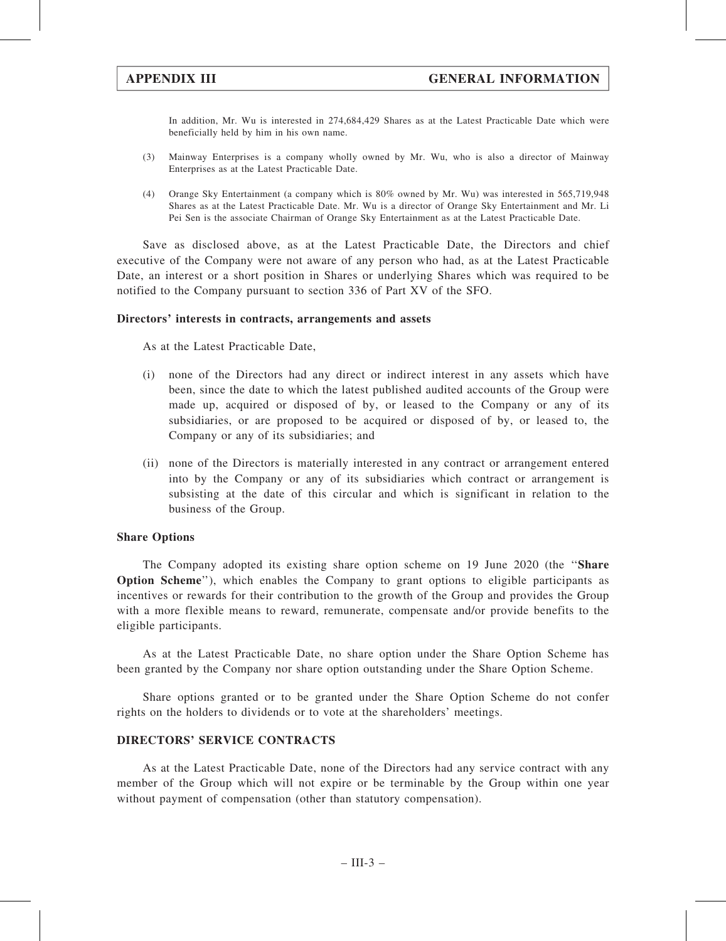In addition, Mr. Wu is interested in 274,684,429 Shares as at the Latest Practicable Date which were beneficially held by him in his own name.

- (3) Mainway Enterprises is a company wholly owned by Mr. Wu, who is also a director of Mainway Enterprises as at the Latest Practicable Date.
- (4) Orange Sky Entertainment (a company which is 80% owned by Mr. Wu) was interested in 565,719,948 Shares as at the Latest Practicable Date. Mr. Wu is a director of Orange Sky Entertainment and Mr. Li Pei Sen is the associate Chairman of Orange Sky Entertainment as at the Latest Practicable Date.

Save as disclosed above, as at the Latest Practicable Date, the Directors and chief executive of the Company were not aware of any person who had, as at the Latest Practicable Date, an interest or a short position in Shares or underlying Shares which was required to be notified to the Company pursuant to section 336 of Part XV of the SFO.

#### Directors' interests in contracts, arrangements and assets

As at the Latest Practicable Date,

- (i) none of the Directors had any direct or indirect interest in any assets which have been, since the date to which the latest published audited accounts of the Group were made up, acquired or disposed of by, or leased to the Company or any of its subsidiaries, or are proposed to be acquired or disposed of by, or leased to, the Company or any of its subsidiaries; and
- (ii) none of the Directors is materially interested in any contract or arrangement entered into by the Company or any of its subsidiaries which contract or arrangement is subsisting at the date of this circular and which is significant in relation to the business of the Group.

### Share Options

The Company adopted its existing share option scheme on 19 June 2020 (the ''Share Option Scheme''), which enables the Company to grant options to eligible participants as incentives or rewards for their contribution to the growth of the Group and provides the Group with a more flexible means to reward, remunerate, compensate and/or provide benefits to the eligible participants.

As at the Latest Practicable Date, no share option under the Share Option Scheme has been granted by the Company nor share option outstanding under the Share Option Scheme.

Share options granted or to be granted under the Share Option Scheme do not confer rights on the holders to dividends or to vote at the shareholders' meetings.

#### DIRECTORS' SERVICE CONTRACTS

As at the Latest Practicable Date, none of the Directors had any service contract with any member of the Group which will not expire or be terminable by the Group within one year without payment of compensation (other than statutory compensation).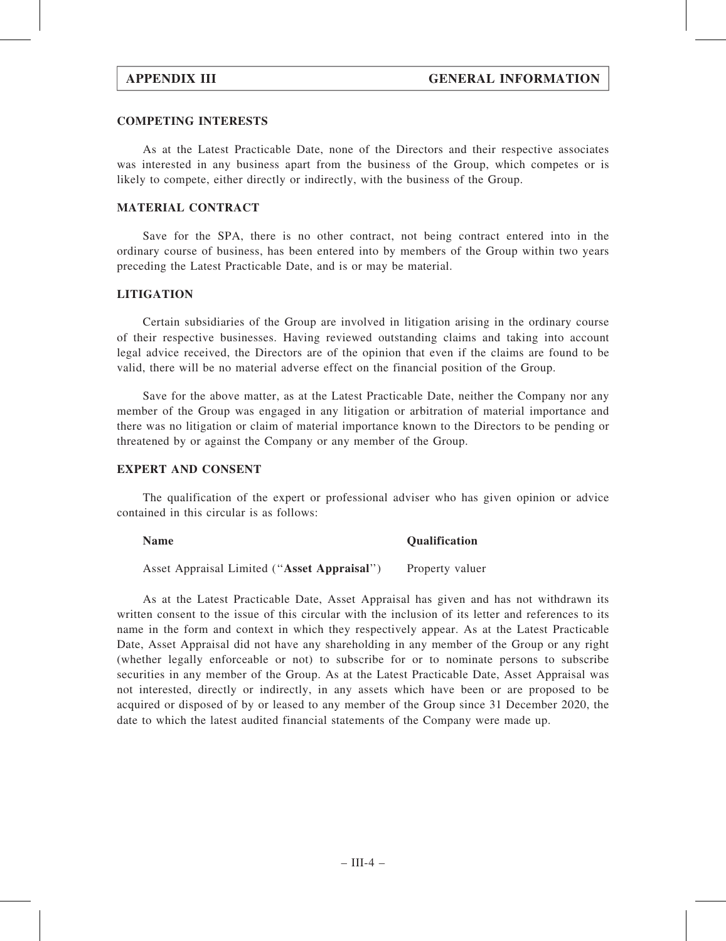#### COMPETING INTERESTS

As at the Latest Practicable Date, none of the Directors and their respective associates was interested in any business apart from the business of the Group, which competes or is likely to compete, either directly or indirectly, with the business of the Group.

### MATERIAL CONTRACT

Save for the SPA, there is no other contract, not being contract entered into in the ordinary course of business, has been entered into by members of the Group within two years preceding the Latest Practicable Date, and is or may be material.

#### **LITIGATION**

Certain subsidiaries of the Group are involved in litigation arising in the ordinary course of their respective businesses. Having reviewed outstanding claims and taking into account legal advice received, the Directors are of the opinion that even if the claims are found to be valid, there will be no material adverse effect on the financial position of the Group.

Save for the above matter, as at the Latest Practicable Date, neither the Company nor any member of the Group was engaged in any litigation or arbitration of material importance and there was no litigation or claim of material importance known to the Directors to be pending or threatened by or against the Company or any member of the Group.

#### EXPERT AND CONSENT

The qualification of the expert or professional adviser who has given opinion or advice contained in this circular is as follows:

## Name Qualification Asset Appraisal Limited ("Asset Appraisal") Property valuer

As at the Latest Practicable Date, Asset Appraisal has given and has not withdrawn its written consent to the issue of this circular with the inclusion of its letter and references to its name in the form and context in which they respectively appear. As at the Latest Practicable Date, Asset Appraisal did not have any shareholding in any member of the Group or any right (whether legally enforceable or not) to subscribe for or to nominate persons to subscribe securities in any member of the Group. As at the Latest Practicable Date, Asset Appraisal was not interested, directly or indirectly, in any assets which have been or are proposed to be acquired or disposed of by or leased to any member of the Group since 31 December 2020, the date to which the latest audited financial statements of the Company were made up.